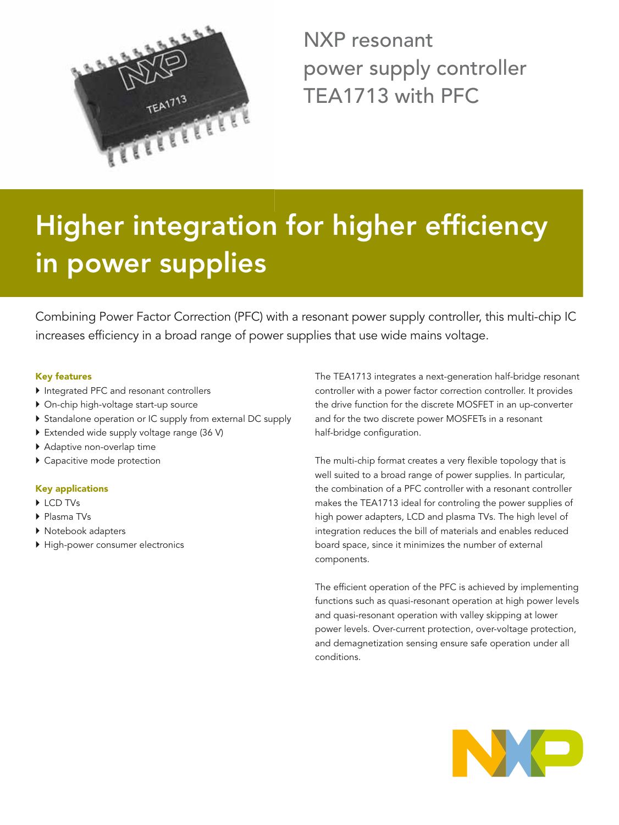

NXP resonant power supply controller TEA1713 with PFC

# **Higher integration for higher efficiency in power supplies**

Combining Power Factor Correction (PFC) with a resonant power supply controller, this multi-chip IC increases efficiency in a broad range of power supplies that use wide mains voltage.

### **Key features**

- $\blacktriangleright$  Integrated PFC and resonant controllers
- ` On-chip high-voltage start-up source
- ` Standalone operation or IC supply from external DC supply
- **Extended wide supply voltage range (36 V)**
- $\blacktriangleright$  Adaptive non-overlap time
- $\blacktriangleright$  Capacitive mode protection

## **Key applications**

- ▶ LCD TVs
- ▶ Plasma TVs
- $\blacktriangleright$  Notebook adapters
- $\blacktriangleright$  High-power consumer electronics

The TEA1713 integrates a next-generation half-bridge resonant controller with a power factor correction controller. It provides the drive function for the discrete MOSFET in an up-converter and for the two discrete power MOSFETs in a resonant half-bridge configuration.

The multi-chip format creates a very flexible topology that is well suited to a broad range of power supplies. In particular, the combination of a PFC controller with a resonant controller makes the TEA1713 ideal for controling the power supplies of high power adapters, LCD and plasma TVs. The high level of integration reduces the bill of materials and enables reduced board space, since it minimizes the number of external components.

The efficient operation of the PFC is achieved by implementing functions such as quasi-resonant operation at high power levels and quasi-resonant operation with valley skipping at lower power levels. Over-current protection, over-voltage protection, and demagnetization sensing ensure safe operation under all conditions.